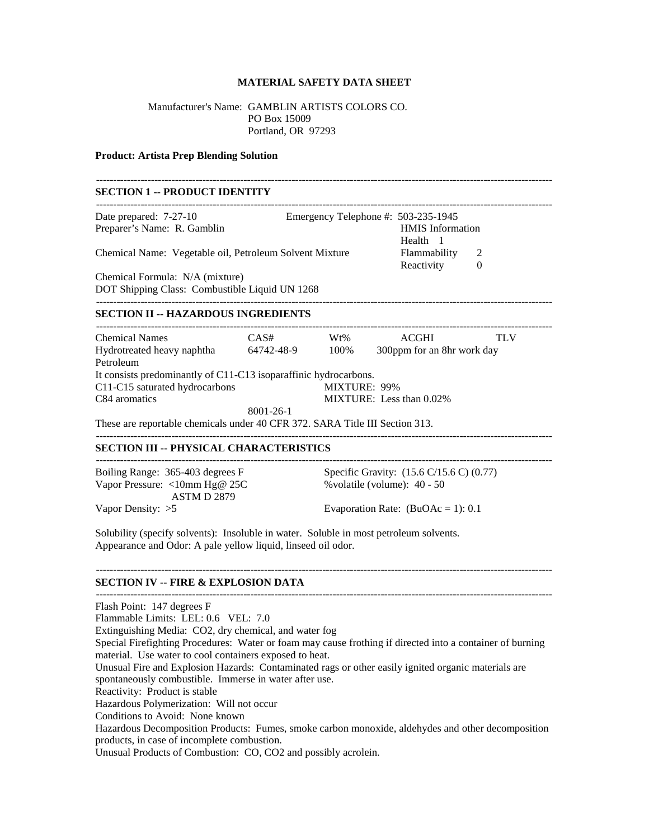### **MATERIAL SAFETY DATA SHEET**

### Manufacturer's Name: GAMBLIN ARTISTS COLORS CO. PO Box 15009 Portland, OR 97293

#### **Product: Artista Prep Blending Solution**

# ------------------------------------------------------------------------------------------------------------------------------------- **SECTION 1 -- PRODUCT IDENTITY** ------------------------------------------------------------------------------------------------------------------------------------- Date prepared:  $7-27-10$  Emergency Telephone #: 503-235-1945 Preparer's Name: R. Gamblin **HMIS** Information Health 1 Chemical Name: Vegetable oil, Petroleum Solvent Mixture Flammability 2 Reactivity 0 Chemical Formula: N/A (mixture) DOT Shipping Class: Combustible Liquid UN 1268 ------------------------------------------------------------------------------------------------------------------------------------- **SECTION II -- HAZARDOUS INGREDIENTS** ------------------------------------------------------------------------------------------------------------------------------------- Chemical Names CAS# Wt% ACGHI TLV Hydrotreated heavy naphtha 64742-48-9 100% 300ppm for an 8hr work day Petroleum It consists predominantly of C11-C13 isoparaffinic hydrocarbons. C11-C15 saturated hydrocarbons MIXTURE: 99% C84 aromatics MIXTURE: Less than 0.02% 8001-26-1 These are reportable chemicals under 40 CFR 372. SARA Title III Section 313. ------------------------------------------------------------------------------------------------------------------------------------- **SECTION III -- PHYSICAL CHARACTERISTICS** ------------------------------------------------------------------------------------------------------------------------------------- Boiling Range: 365-403 degrees F Specific Gravity: (15.6 C/15.6 C) (0.77) Vapor Pressure: <10mm Hg@ 25C %volatile (volume): 40 - 50 ASTM D 2879 Vapor Density:  $>5$  Evaporation Rate: (BuOAc = 1): 0.1 Solubility (specify solvents): Insoluble in water. Soluble in most petroleum solvents. Appearance and Odor: A pale yellow liquid, linseed oil odor.  $-1-\frac{1}{2}$ **SECTION IV -- FIRE & EXPLOSION DATA** ------------------------------------------------------------------------------------------------------------------------------------- Flash Point: 147 degrees F Flammable Limits: LEL: 0.6 VEL: 7.0 Extinguishing Media: CO2, dry chemical, and water fog Special Firefighting Procedures: Water or foam may cause frothing if directed into a container of burning material. Use water to cool containers exposed to heat. Unusual Fire and Explosion Hazards: Contaminated rags or other easily ignited organic materials are spontaneously combustible. Immerse in water after use. Reactivity: Product is stable Hazardous Polymerization: Will not occur Conditions to Avoid: None known Hazardous Decomposition Products: Fumes, smoke carbon monoxide, aldehydes and other decomposition products, in case of incomplete combustion. Unusual Products of Combustion: CO, CO2 and possibly acrolein.